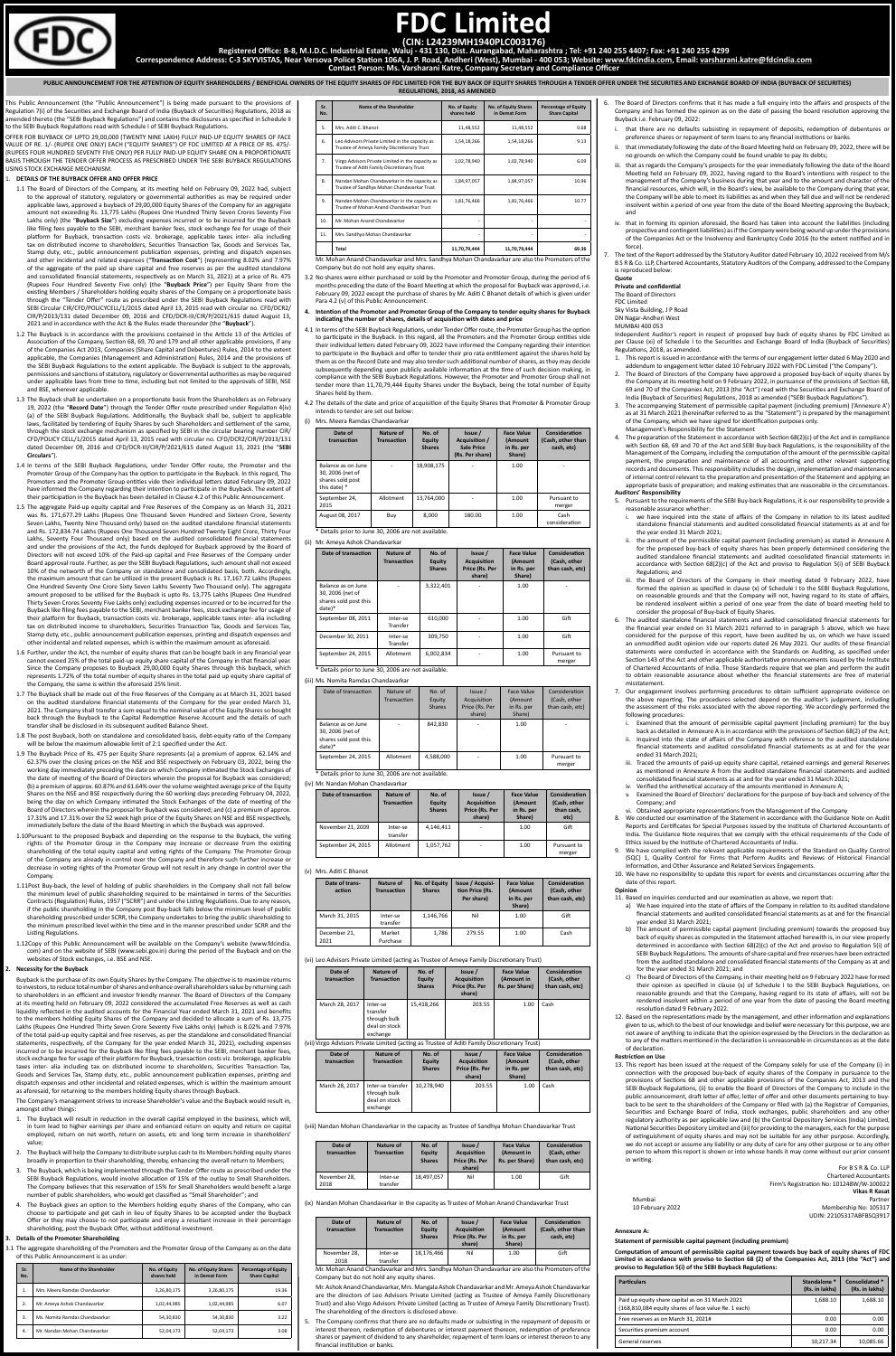This Public Announcement (the "Public Announcement") is being made pursuant to the provisions of Regulation 7(i) of the Securities and Exchange Board of India (Buyback of Securities) Regulations, 2018 as amended thereto (the "SEBI Buyback Regulations") and contains the disclosures as specified in Schedule II to the SEBI Buyback Regulations read with Schedule I of SEBI Buyback Regulations.

OFFER FOR BUYBACK OF UPTO 29,00,000 (TWENTY NINE LAKH) FULLY PAID-UP EQUITY SHARES OF FACE VALUE OF RE. 1/- (RUPEE ONE ONLY) EACH ("EQUITY SHARES") OF FDC LIMITED AT A PRICE OF RS. 475/- (RUPEES FOUR HUNDRED SEVENTY FIVE ONLY) PER FULLY PAID-UP EQUITY SHARE ON A PROPORTIONATE .<br>BASIS THROUGH THE TENDER OFFER PROCESS AS PRESCRIBED UNDER THE SEBI BUYBACK REGULATIONS USING STOCK EXCHANGE MECHANISM.

# 1. **DETAILS OF THE BUYBACK OFFER AND OFFER PRICE**

- 1.1 The Board of Directors of the Company, at its meeting held on February 09, 2022 had, subject to the approval of statutory, regulatory or governmental authorities as may be required under applicable laws, approved a buyback of 29,00,000 Equity Shares of the Company for an aggregate amount not exceeding Rs. 13,775 Lakhs (Rupees One Hundred Thirty Seven Crores Seventy Five Lakhs only) (the "**Buyback Size**") excluding expenses incurred or to be incurred for the Buyback like filing fees payable to the SEBI, merchant banker fees, stock exchange fee for usage of their platform for Buyback, transaction costs viz. brokerage, applicable taxes inter- alia including tax on distributed income to shareholders, Securities Transaction Tax, Goods and Services Tax, Stamp duty, etc., public announcement publication expenses, printing and dispatch expenses and other incidental and related expenses ("**Transaction Cost**") (representing 8.02% and 7.97% of the aggregate of the paid up share capital and free reserves as per the audited standalone and consolidated financial statements, respectively as on March 31, 2021) at a price of Rs. 475 (Rupees Four Hundred Seventy Five only) (the "**Buyback Price**") per Equity Share from the existing Members / Shareholders holding equity shares of the Company on a proportionate basis through the "Tender Offer" route as prescribed under the SEBI Buyback Regulations read with SEBI Circular CIR/CFD/POLICYCELL/1/2015 dated April 13, 2015 read with circular no. CFD/DCR2/ CIR/P/2013/131 dated December 09, 2016 and CFD/DCR-III/CIR/P/2021/615 dated August 13, 2021 and in accordance with the Act & the Rules made thereunder (the "**Buyback**").
- 1.2 The Buyback is in accordance with the provisions contained in the Article 13 of the Articles of Association of the Company, Section 68, 69, 70 and 179 and all other applicable provisions, if any of the Companies Act 2013, Companies (Share Capital and Debentures) Rules, 2014 to the extent applicable, the Companies (Management and Administration) Rules, 2014 and the provisions of the SEBI Buyback Regulations to the extent applicable. The Buyback is subject to the approvals, permissions and sanctions of statutory, regulatory or Governmental authorities as may be required under applicable laws from time to time, including but not limited to the approvals of SEBI, NSE and BSE, wherever applicable.
- 1.3 The Buyback shall be undertaken on a proportionate basis from the Shareholders as on February 19, 2022 (the "**Record Date**") through the Tender Offer route prescribed under Regulation 4(iv) (a) of the SEBI Buyback Regulations. Additionally, the Buyback shall be, subject to applicable laws, facilitated by tendering of Equity Shares by such Shareholders and settlement of the same, through the stock exchange mechanism as specified by SEBI in the circular bearing number CIR/ CFD/POLICY CELL/1/2015 dated April 13, 2015 read with circular no. CFD/DCR2/CIR/P/2013/131 dated December 09, 2016 and CFD/DCR-III/CIR/P/2021/615 dated August 13, 2021 (the "**SEBI Circulars**").
- 1.4 In terms of the SEBI Buyback Regulations, under Tender Offer route, the Promoter and the Promoter Group of the Company has the option to participate in the Buyback. In this regard, The Promoters and the Promoter Group entities vide their individual letters dated February 09, 2022 have informed the Company regarding their intention to participate in the Buyback. The extent of their participation in the Buyback has been detailed in Clause 4.2 of this Public Announcement.
- 1.5 The aggregate Paid-up equity capital and Free Reserves of the Company as on March 31, 2021 was Rs. 171,677.29 Lakhs (Rupees One Thousand Seven Hundred and Sixteen Crore, Seventy Seven Lakhs, Twenty Nine Thousand only) based on the audited standalone financial statements and Rs. 172,834.74 Lakhs (Rupees One Thousand Seven Hundred Twenty Eight Crore, Thirty Four Lakhs, Seventy Four Thousand only) based on the audited consolidated financial statements and under the provisions of the Act, the funds deployed for Buyback approved by the Board of Directors will not exceed 10% of the Paid-up capital and Free Reserves of the Company under Board approval route. Further, as per the SEBI Buyback Regulations, such amount shall not exceed 10% of the networth of the Company on standalone and consolidated basis, both. Accordingly, the maximum amount that can be utilized in the present Buyback is Rs. 17,167.72 Lakhs (Rupees One Hundred Seventy One Crore Sixty Seven Lakhs Seventy Two Thousand only). The aggregate amount proposed to be utilised for the Buyback is upto Rs. 13,775 Lakhs (Rupees One Hundred Thirty Seven Crores Seventy Five Lakhs only) excluding expenses incurred or to be incurred for the Buyback like filing fees payable to the SEBI, merchant banker fees, stock exchange fee for usage of their platform for Buyback, transaction costs viz. brokerage, applicable taxes inter- alia including tax on distributed income to shareholders, Securities Transaction Tax, Goods and Services Tax, Stamp duty, etc., public announcement publication expenses, printing and dispatch expenses and other incidental and related expenses, which is within the maximum amount as aforesaid.
- 1.6 Further, under the Act, the number of equity shares that can be bought back in any financial year cannot exceed 25% of the total paid-up equity share capital of the Company in that financial year. Since the Company proposes to Buyback 29,00,000 Equity Shares through this buyback, which represents 1.72% of the total number of equity shares in the total paid up equity share capital of the Company, the same is within the aforesaid 25% limit.
- 1.7 The Buyback shall be made out of the Free Reserves of the Company as at March 31, 2021 based on the audited standalone financial statements of the Company for the year ended March 31, 2021. The Company shall transfer a sum equal to the nominal value of the Equity Shares so bought back through the Buyback to the Capital Redemption Reserve Account and the details of such transfer shall be disclosed in its subsequent audited Balance Sheet.
- 1.8 The post Buyback, both on standalone and consolidated basis, debt-equity ratio of the Company will be below the maximum allowable limit of 2:1 specified under the Act.
- 1.9 The Buyback Price of Rs. 475 per Equity Share represents (a) a premium of approx. 62.14% and 62.37% over the closing prices on the NSE and BSE respectively on February 03, 2022, being the working day immediately preceding the date on which Company intimated the Stock Exchanges of the date of meeting of the Board of Directors wherein the proposal for Buyback was considered; (b) a premium of approx. 60.87% and 61.64% over the volume weighted average price of the Equity Shares on the NSE and BSE respectively during the 60 working days preceding February 04, 2022, being the day on which Company intimated the Stock Exchanges of the date of meeting of the Board of Directors wherein the proposal for Buyback was considered; and (c) a premium of approx. 17.31% and 17.31% over the 52 week high price of the Equity Shares on NSE and BSE respectively, nediately before the date of the Board Meeting in which the Buyback was approvec
- 1.10Pursuant to the proposed Buyback and depending on the response to the Buyback, the voting rights of the Promoter Group in the Company may increase or decrease from the existing shareholding of the total equity capital and voting rights of the Company. The Promoter Group of the Company are already in control over the Company and therefore such further increase decrease in voting rights of the Promoter Group will not result in any change in control over the Company.

- 1.11Post Buy-back, the level of holding of public shareholders in the Company shall not fall below the minimum level of public shareholding required to be maintained in terms of the Securities Contracts (Regulation) Rules, 1957 ("SCRR") and under the Listing Regulations. Due to any reason, if the public shareholding in the Company post Buy-back falls below the minimum level of public shareholding prescribed under SCRR, the Company undertakes to bring the public shareholding to the minimum prescribed level within the time and in the manner prescribed under SCRR and the Listing Regulations.
- 1.12Copy of this Public Announcement will be available on the Company's website (www.fdcindia. com) and on the website of SEBI (www.sebi.gov.in) during the period of the Buyback and on the websites of Stock exchanges, i.e. BSE and NSE.

#### **2. Necessity for the Buyback**

The Company confirms that there are no defaults made or subsisting in the repayment of deposits or interest thereon, redemption of debentures or interest payment thereon, redemption of preference shares or payment of dividend to any shareholder, repayment of term loans or interest thereon to any financial institution or banks.

Buyback is the purchase of its own Equity Shares by the Company. The objective is to maximize returns to investors, to reduce total number of shares and enhance overall shareholders value by returning cash to shareholders in an efficient and investor friendly manner. The Board of Directors of the Company at its meeting held on February 09, 2022 considered the accumulated Free Reserves as well as cash liquidity reflected in the audited accounts for the Financial Year ended March 31, 2021 and benefits to the members holding Equity Shares of the Company and decided to allocate a sum of Rs. 13,775 Lakhs (Rupees One Hundred Thirty Seven Crore Seventy Five Lakhs only) (which is 8.02% and 7.97% of the total paid-up equity capital and free reserves, as per the standalone and consolidated financial statements, respectively, of the Company for the year ended March 31, 2021), excluding expenses incurred or to be incurred for the Buyback like filing fees payable to the SEBI, merchant banker fees, stock exchange fee for usage of their platform for Buyback, transaction costs viz. brokerage, applicable taxes inter- alia including tax on distributed income to shareholders, Securities Transaction Tax, Goods and Services Tax, Stamp duty, etc., public announcement publication expenses, printing and dispatch expenses and other incidental and related expenses, which is within the maximum amount as aforesaid, for returning to the members holding Equity shares through Buyback.

The Company's management strives to increase Shareholder's value and the Buyback would result in, amongst other things:

- 1. The Buyback will result in reduction in the overall capital employed in the business, which will, in turn lead to higher earnings per share and enhanced return on equity and return on capital employed, return on net worth, return on assets, etc and long term increase in shareholders' value;
- 2. The Buyback will help the Company to distribute surplus cash to its Members holding equity shares broadly in proportion to their shareholding, thereby, enhancing the overall return to Members;
- 3. The Buyback, which is being implemented through the Tender Offer route as prescribed under the SEBI Buyback Regulations, would involve allocation of 15% of the outlay to Small Shareholders. The Company believes that this reservation of 15% for Small Shareholders would benefit a large number of public shareholders, who would get classified as "Small Shareholder"; and
- 4. The Buyback gives an option to the Members holding equity shares of the Company, who can choose to participate and get cash in lieu of Equity Shares to be accepted under the Buyback Offer or they may choose to not participate and enjoy a resultant increase in their percentage shareholding, post the Buyback Offer, without additional investment.

# **3. Details of the Promoter Shareholding**

3.1 The aggregate shareholding of the Promoters and the Promoter Group of the Company as on the date of this Public Announcement is as under:

| Sr.<br>No.    | Name of the Shareholder        | No. of Equity<br>shares held | No. of Equity Shares<br>in Demat Form | <b>Percentage of Equity</b><br><b>Share Capital</b> |
|---------------|--------------------------------|------------------------------|---------------------------------------|-----------------------------------------------------|
| 1.            | Mrs. Meera Ramdas Chandavarkar | 3,26,80,175                  | 3,26,80,175                           | 19.36                                               |
| $\mathcal{L}$ | Mr. Ameya Ashok Chandavarkar   | 1,02,44,985                  | 1,02,44,985                           | 6.07                                                |
| 3.            | Ms. Nomita Ramdas Chandavarkar | 54,30,830                    | 54,30,830                             | 3.22                                                |
| 4.            | Mr. Nandan Mohan Chandavarkar  | 52,04,173                    | 52,04,173                             | 3.08                                                |

Mr. Mohan Anand Chandavarkar and Mrs. Sandhya Mohan Chandavarkar are also the Promoters of the Company but do not hold any equity shares.

- 3.2 No shares were either purchased or sold by the Promoter and Promoter Group, during the period of 6 months preceding the date of the Board Meeting at which the proposal for Buyback was approved, i.e. February 09, 2022 except the purchase of shares by Mr. Aditi C Bhanot details of which is given under Para 4.2 (v) of this Public Announcement.
- **4. Intention of the Promoter and Promoter Group of the Company to tender equity shares for Buyback indicating the number of shares, details of acquisition with dates and price**
- 4.1 In terms of the SEBI Buyback Regulations, under Tender Offer route, the Promoter Group has the option to participate in the Buyback. In this regard, all the Promoters and the Promoter Group entities vide their individual letters dated February 09, 2022 have informed the Company regarding their intention to participate in the Buyback and offer to tender their pro rata entitlement against the shares held by them as on the Record Date and may also tender such additional number of shares, as they may decide subsequently depending upon publicly available information at the time of such decision making, in compliance with the SEBI Buyback Regulations. However, the Promoter and Promoter Group shall not tender more than 11,70,79,444 Equity Shares under the Buyback, being the total number of Equity Shares held by them.
- 4.2 The details of the date and price of acquisition of the Equity Shares that Promoter & Promoter Group intends to tender are set out below:

# (i) Mrs. Meera Ramdas Chandavarkar

| Date of<br>transaction                                                     | Nature of<br><b>Transaction</b> | No. of<br>Equity<br><b>Shares</b> | Issue /<br><b>Acquisition /</b><br>Sale Price<br>(Rs. Per share) | <b>Face Value</b><br><b>(Amount</b><br>in Rs. per<br>Share) | Consideration<br>(Cash, other than<br>cash, etc) |
|----------------------------------------------------------------------------|---------------------------------|-----------------------------------|------------------------------------------------------------------|-------------------------------------------------------------|--------------------------------------------------|
| Balance as on June<br>30, 2006 (net of<br>shares sold post<br>this date) * |                                 | 18.908.175                        |                                                                  | 1.00                                                        |                                                  |
| September 24,<br>2015                                                      | Allotment                       | 13,764,000                        |                                                                  | 1.00                                                        | Pursuant to<br>merger                            |
| August 08, 2017                                                            | Buy                             | 8,000                             | 180.00                                                           | 1.00                                                        | Cash<br>consideration                            |

\* Details prior to June 30, 2006 are not available.

# (ii) Mr. Ameya Ashok Chandavarkar

| Date of transaction                                                       | Nature of<br><b>Transaction</b> | No. of<br>Equity<br><b>Shares</b> | Issue /<br><b>Acquisition</b><br>Price (Rs. Per<br>share) | <b>Face Value</b><br>(Amount<br>in Rs. per<br>Share) | Consideration<br>(Cash, other<br>than cash, etc) |
|---------------------------------------------------------------------------|---------------------------------|-----------------------------------|-----------------------------------------------------------|------------------------------------------------------|--------------------------------------------------|
| Balance as on June<br>30, 2006 (net of<br>shares sold post this<br>date)* |                                 | 3,322,401                         |                                                           | 1.00                                                 |                                                  |
| September 08, 2011                                                        | Inter-se<br>Transfer            | 610.000                           |                                                           | 1.00                                                 | Gift                                             |
| December 30, 2011                                                         | Inter-se<br>Transfer            | 309,750                           |                                                           | 1.00                                                 | Gift                                             |
| September 24, 2015                                                        | Allotment                       | 6,002,834                         |                                                           | 1.00                                                 | Pursuant to<br>merger                            |

# (iii) Ms. Nomita Ramdas Chandavarka

| Date of transaction                                                       | Nature of<br>Transaction | No. of<br>Equity<br><b>Shares</b> | Issue /<br>Acquisition<br>Price (Rs. Per<br>share) | Face Value<br>(Amount<br>in Rs. per<br>Share) | Consideration<br>(Cash, other<br>than cash, etc) |
|---------------------------------------------------------------------------|--------------------------|-----------------------------------|----------------------------------------------------|-----------------------------------------------|--------------------------------------------------|
| Balance as on June<br>30, 2006 (net of<br>shares sold post this<br>date)* |                          | 842,830                           |                                                    | 1.00                                          |                                                  |
| September 24, 2015                                                        | Allotment                | 4,588,000                         |                                                    | 1.00                                          | Pursuant to<br>merger                            |
| * Details prior to June 30, 2006 are not available.                       |                          |                                   |                                                    |                                               |                                                  |

(iv) Mr. Nandan Mohan Chandavarkar

| 7 IVII. NGCHAGH IVIOTIGH CHAHAGVALINGI |                                 |                                   |                                                           |                                                      |                                                     |
|----------------------------------------|---------------------------------|-----------------------------------|-----------------------------------------------------------|------------------------------------------------------|-----------------------------------------------------|
| Date of transaction                    | Nature of<br><b>Transaction</b> | No. of<br>Equity<br><b>Shares</b> | Issue /<br><b>Acquisition</b><br>Price (Rs. Per<br>share) | <b>Face Value</b><br>(Amount<br>in Rs. per<br>Share) | Consideration<br>(Cash, other<br>than cash,<br>etc) |
| November 21, 2009                      | Inter-se<br>transfer            | 4,146,411                         |                                                           | 1.00                                                 | Gift                                                |
| September 24, 2015                     | Allotment                       | 1,057,762                         | -                                                         | 1.00                                                 | Pursuant to<br>merger                               |

(v) Mrs. Aditi C Bhanot

| Date of trans-<br>action | Nature of<br><b>Transaction</b> | No. of Equity<br><b>Shares</b> | <b>Issue / Acquisi-</b><br>tion Price (Rs.<br>Per share) | <b>Face Value</b><br>(Amount<br>in Rs. per<br>Share) | Consideration<br>(Cash, other<br>than cash, etc) |
|--------------------------|---------------------------------|--------------------------------|----------------------------------------------------------|------------------------------------------------------|--------------------------------------------------|
| March 31, 2015           | Inter-se<br>transfer            | 1,146,766                      | Nil                                                      | 1.00                                                 | Gift                                             |
| December 21.<br>2021     | Market<br>Purchase              | 1,786                          | 279.55                                                   | 1.00                                                 | Cash                                             |

(vi) Leo Advisors Private Limited (acting as Trustee of Ameya Family Discretionary Trust)

| Date of<br>transaction | <b>Nature of</b><br><b>Transaction</b>                            | No. of<br><b>Equity</b><br><b>Shares</b> | Issue /<br><b>Acquisition</b><br>Price (Rs. Per<br>share) | <b>Face Value</b><br>(Amount in<br>Rs. per Share) | Consideration<br>(Cash, other<br>than cash, etc) |
|------------------------|-------------------------------------------------------------------|------------------------------------------|-----------------------------------------------------------|---------------------------------------------------|--------------------------------------------------|
| March 28, 2017         | Inter-se<br>transfer<br>through bulk<br>deal on stock<br>exchange | 15,418,266                               | 203.55                                                    | 1.00                                              | Cash                                             |

(vii)Virgo Advisors Private Limited (acting as Trustee of Aditi Family Discretionary Trust)

| Date of<br>transaction | <b>Nature of</b><br><b>Transaction</b>                         | No. of<br>Equity<br><b>Shares</b> | Issue /<br><b>Acquisition</b><br>Price (Rs. Per<br>share) | <b>Face Value</b><br>(Amount<br>in Rs. per<br>Share) | Consideration<br>(Cash, other<br>than cash, etc) |
|------------------------|----------------------------------------------------------------|-----------------------------------|-----------------------------------------------------------|------------------------------------------------------|--------------------------------------------------|
| March 28, 2017         | Inter-se transfer<br>through bulk<br>deal on stock<br>exchange | 10.278.940                        | 203.55                                                    | 1.00                                                 | Cash                                             |

(viii) Nandan Mohan Chandavarkar in the capacity as Trustee of Sandhya Mohan Chandavarkar Trust

| Date of<br>transaction | Nature of<br><b>Transaction</b> | No. of<br>Equity<br><b>Shares</b> | Issue /<br><b>Acquisition</b><br>Price (Rs. Per<br>share) | <b>Face Value</b><br>(Amount in<br>Rs. per Share) | Consideration<br>(Cash, other<br>than cash. etc) |
|------------------------|---------------------------------|-----------------------------------|-----------------------------------------------------------|---------------------------------------------------|--------------------------------------------------|
| November 28.<br>2018   | Inter-se<br>transfer            | 18,497,057                        | Nil                                                       | 1.00                                              | Gift                                             |

(ix) Nandan Mohan Chandavarkar in the capacity as Trustee of Mohan Anand Chandavarkar Trust

| Date of<br>transaction | Nature of<br><b>Transaction</b> | No. of<br>Equity<br><b>Shares</b> | Issue /<br><b>Acquisition</b><br>Price (Rs. Per<br>share) | <b>Face Value</b><br>(Amount<br>in Rs. per<br>Share) | Consideration<br>(Cash, other than<br>cash, etc) |
|------------------------|---------------------------------|-----------------------------------|-----------------------------------------------------------|------------------------------------------------------|--------------------------------------------------|
| November 28,<br>2018   | Inter-se<br>transfer            | 18,176,466                        | Nil                                                       | 1.00                                                 | Gift                                             |

Mr. Mohan Anand Chandavarkar and Mrs. Sandhya Mohan Chandavarkar are also the Promoters of the Company but do not hold any equity shares.

Mr. Ashok Anand Chandavarkar, Mrs. Mangala Ashok Chandavarkar and Mr. Ameya Ashok Chandavarkar are the directors of Leo Advisors Private Limited (acting as Trustee of Ameya Family Discretionary Trust) and also Virgo Advisors Private Limited (acting as Trustee of Ameya Family Discretionary Trust). The shareholding of the directors is disclosed above.

- 6. The Board of Directors confirms that it has made a full enquiry into the affairs and prospects of the Company and has formed the opinion as on the date of passing the board resolution approving the Buyback i.e. February 09, 2022:
	- i. that there are no defaults subsisting in repayment of deposits, redemption of debentures or preference shares or repayment of term loans to any financial institutions or banks
	- that immediately following the date of the Board Meeting held on February 09, 2022, there will be no grounds on which the Company could be found unable to pay its debts;
	- iii. that as regards the Company's prospects for the year immediately following the date of the Board Meeting held on February 09, 2022, having regard to the Board's intentions with respect to the management of the Company's business during that year and to the amount and character of the financial resources, which will, in the Board's view, be available to the Company during that year, the Company will be able to meet its liabilities as and when they fall due and will not be rendered insolvent within a period of one year from the date of the Board Meeting approving the Buyback; and
	- iv. that in forming its opinion aforesaid, the Board has taken into account the liabilities (including prospective and contingent liabilities) as if the Company were being wound up under the provisions of the Companies Act or the Insolvency and Bankruptcy Code 2016 (to the extent notified and in force)
- 7. The text of the Report addressed by the Statutory Auditor dated February 10, 2022 received from M/s B S R & Co. LLP, Chartered Accountants, Statutory Auditors of the Company, addressed to the Company is reproduced below:

#### **Quote Private and confidential**

The Board of Directors

FDC Limited

Sky Vista Building, J P Road DN Nagar-Andheri West

MUMBAI 400 053

Independent Auditor's report in respect of proposed buy back of equity shares by FDC Limited as per Clause (xi) of Schedule I to the Securities and Exchange Board of India (Buyback of Securities) Regulations, 2018, as amended.

|                | <b>REGULATIONS. 2018. AS AMENDED</b>                                                             |                              |                                       |                                                     |  |  |  |  |
|----------------|--------------------------------------------------------------------------------------------------|------------------------------|---------------------------------------|-----------------------------------------------------|--|--|--|--|
| Sr.<br>No.     | Name of the Shareholder                                                                          | No. of Equity<br>shares held | No. of Equity Shares<br>in Demat Form | <b>Percentage of Equity</b><br><b>Share Capital</b> |  |  |  |  |
| 5.             | Mrs. Aditi C. Bhanot                                                                             | 11,48,552                    | 11,48,552                             | 0.68                                                |  |  |  |  |
| 6.             | Leo Advisors Private Limited in the capacity as<br>Trustee of Ameya Family Discretionary Trust   | 1,54,18,266                  | 1,54,18,266                           | 9.13                                                |  |  |  |  |
| 7 <sub>1</sub> | Virgo Advisors Private Limited in the capacity as<br>Trustee of Aditi Family Discretionary Trust | 1,02,78,940                  | 1,02,78,940                           | 6.09                                                |  |  |  |  |
| 8.             | Nandan Mohan Chandavarkar in the capacity as<br>Trustee of Sandhya Mohan Chandavarkar Trust      | 1,84,97,057                  | 1,84,97,057                           | 10.96                                               |  |  |  |  |
| 9.             | Nandan Mohan Chandavarkar in the capacity as<br>Trustee of Mohan Anand Chandavarkar Trust        | 1,81,76,466                  | 1,81,76,466                           | 10.77                                               |  |  |  |  |
| 10.            | Mr. Mohan Anand Chandavarkar                                                                     |                              |                                       |                                                     |  |  |  |  |
| 11.            | Mrs. Sandhya Mohan Chandavarkar                                                                  |                              |                                       |                                                     |  |  |  |  |
|                | Total                                                                                            | 11,70,79,444                 | 11,70,79,444                          | 69.36                                               |  |  |  |  |

- 1. This report is issued in accordance with the terms of our engagement letter dated 6 May 2020 and addendum to engagement letter dated 10 February 2022 with FDC Limited ("the Company").
- The Board of Directors of the Company have approved a proposed buy-back of equity shares by the Company at its meeting held on 9 February 2022, in pursuance of the provisions of Section 68, 69 and 70 of the Companies Act, 2013 (the "Act") read with the Securities and Exchange Board of India (Buyback of Securities) Regulations, 2018 as amended ("SEBI Buyback Regulations").
- 3. The accompanying Statement of permissible capital payment (including premium) ('Annexure A') as at 31 March 2021 (hereinafter referred to as the "Statement") is prepared by the management of the Company, which we have signed for identification purposes only. Management's Responsibility for the Statement
- 4. The preparation of the Statement in accordance with Section 68(2)(c) of the Act and in compliance with Section 68, 69 and 70 of the Act and SEBI Buy-back Regulations, is the responsibility of the Management of the Company, including the computation of the amount of the permissible capital payment, the preparation and maintenance of all accounting and other relevant supporting records and documents. This responsibility includes the design, implementation and maintenance of internal control relevant to the preparation and presentation of the Statement and applying an appropriate basis of preparation; and making estimates that are reasonable in the circumstances. **Auditors' Responsibility**

- 5. Pursuant to the requirements of the SEBI Buy-back Regulations, it is our responsibility to provide a reasonable assurance whether:
- we have inquired into the state of affairs of the Company in relation to its latest audited standalone financial statements and audited consolidated financial statements as at and for the year ended 31 March 2021;
- ii. the amount of the permissible capital payment (including premium) as stated in Annexure A for the proposed buy-back of equity shares has been properly determined considering the audited standalone financial statements and audited consolidated financial statements in accordance with Section 68(2)(c) of the Act and proviso to Regulation 5(i) of SEBI Buyback Regulations; and
- iii. the Board of Directors of the Company in their meeting dated 9 February 2022, have formed the opinion as specified in clause (x) of Schedule I to the SEBI Buyback Regulations on reasonable grounds and that the Company will not, having regard to its state of affairs, be rendered insolvent within a period of one year from the date of board meeting held to consider the proposal of Buy-back of Equity Shares.
- 6. The audited standalone financial statements and audited consolidated financial statements for the financial year ended on 31 March 2021 referred to in paragraph 5 above, which we have considered for the purpose of this report, have been audited by us, on which we have issued an unmodified audit opinion vide our reports dated 26 May 2021. Our audits of these financial statements were conducted in accordance with the Standards on Auditing, as specified under Section 143 of the Act and other applicable authoritative pronouncements issued by the Institute of Chartered Accountants of India. Those Standards require that we plan and perform the audit to obtain reasonable assurance about whether the financial statements are free of materia misstatement.
- 7. Our engagement involves performing procedures to obtain sufficient appropriate evidence on the above reporting. The procedures selected depend on the auditor's judgement, including the assessment of the risks associated with the above reporting. We accordingly performed the following procedures:
	- Examined that the amount of permissible capital payment (including premium) for the buy back as detailed in Annexure A is in accordance with the provisions of Section 68(2) of the Act;
	- ii. Inquired into the state of affairs of the Company with reference to the audited standalone financial statements and audited consolidated financial statements as at and for the year ended 31 March 2021;
	- Traced the amounts of paid-up equity share capital, retained earnings and general Reserves as mentioned in Annexure A from the audited standalone financial statements and audited consolidated financial statements as at and for the year ended 31 March 2021; iv. Verified the arithmetical accuracy of the amounts mentioned in Annexure A;
	- Examined the Board of Directors' declarations for the purpose of buy-back and solvency of the Company; and
- vi. Obtained appropriate representations from the Management of the Company
- 8. We conducted our examination of the Statement in accordance with the Guidance Note on Audit Reports and Certificates for Special Purposes issued by the Institute of Chartered Accountants of India. The Guidance Note requires that we comply with the ethical requirements of the Code of Ethics issued by the Institute of Chartered Accountants of India.
- 9. We have complied with the relevant applicable requirements of the Standard on Quality Control (SQC) 1, Quality Control for Firms that Perform Audits and Reviews of Historical Financial
- Information, and Other Assurance and Related Services Engagements.
- 10. We have no responsibility to update this report for events and circumstances occurring after the date of this report.

#### **Opinion**

- 11. Based on inquiries conducted and our examination as above, we report that:
- a) We have inquired into the state of affairs of the Company in relation to its audited standalone financial statements and audited consolidated financial statements as at and for the financial year ended 31 March 2021;
- The amount of permissible capital payment (including premium) towards the proposed buy back of equity shares as computed in the Statement attached herewith is, in our view properly determined in accordance with Section 68(2)(c) of the Act and proviso to Regulation 5(i) of SEBI Buyback Regulations. The amounts of share capital and free reserves have been extracted from the audited standalone and consolidated financial statements of the Company as at and for the year ended 31 March 2021; and
- c) The Board of Directors of the Company, in their meeting held on 9 February 2022 have formed their opinion as specified in clause (x) of Schedule I to the SEBI Buyback Regulations, on reasonable grounds and that the Company, having regard to its state of affairs, will not be rendered insolvent within a period of one year from the date of passing the Board meeting resolution dated 9 February 2022.
- 12. Based on the representations made by the management, and other information and explanations given to us, which to the best of our knowledge and belief were necessary for this purpose, we are not aware of anything to indicate that the opinion expressed by the Directors in the declaration as to any of the matters mentioned in the declaration is unreasonable in circumstances as at the date of declaration.

#### **Restriction on Use**

13. This report has been issued at the request of the Company solely for use of the Company (i) in connection with the proposed buy-back of equity shares of the Company in pursuance to the provisions of Sections 68 and other applicable provisions of the Companies Act, 2013 and the SEBI Buyback Regulations, (ii) to enable the Board of Directors of the Company to include in the public announcement, draft letter of offer, letter of offer and other documents pertaining to buyback to be sent to the shareholders of the Company or filed with (a) the Registrar of Companies, Securities and Exchange Board of India, stock exchanges, public shareholders and any other regulatory authority as per applicable law and (b) the Central Depository Services (India) Limited, National Securities Depository Limited and (iii) for providing to the managers, each for the purpose of extinguishment of equity shares and may not be suitable for any other purpose. Accordingly, we do not accept or assume any liability or any duty of care for any other purpose or to any other person to whom this report is shown or into whose hands it may come without our prior consent in writing.

 For B S R & Co. LLP Chartered Accountants Firm's Registration No: 101248W/W-100022 **Vikas R Kasat** Mumbai Partner 10 February 2022 Membership No: 105317 UDIN: 22105317ABFBSQ3917

#### **Annexure A:**

**Statement of permissible capital payment (including premium)**

**Computation of amount of permissible capital payment towards buy back of equity shares of FDC Limited in accordance with proviso to Section 68 (2) of the Companies Act, 2013 (the "Act") and proviso to Regulation 5(i) of the SEBI Buyback Regulations:**

| <b>Particulars</b>                                                                                       | Standalone *<br>(Rs. in lakhs) | Consolidated *<br>(Rs. in lakhs) |
|----------------------------------------------------------------------------------------------------------|--------------------------------|----------------------------------|
| Paid up equity share capital as on 31 March 2021<br>(168,810,084 equity shares of face value Re. 1 each) | 1.688.10                       | 1.688.10                         |
| Free reserves as on March 31, 2021#                                                                      | 0.00                           | 0.00                             |
| Securities premium account                                                                               | 0.00                           | 0.00                             |
| General reserves                                                                                         | 10,217.34                      | 10,085.66                        |



# **FDC Limited (CIN: L24239MH1940PLC003176)**

**Registered Office: B-8, M.I.D.C. Industrial Estate, Waluj - 431 130, Dist. Aurangabad, Maharashtra ; Tel: +91 240 255 4407; Fax: +91 240 255 4299**

**Correspondence Address: C-3 SKYVISTAS, Near Versova Police Station 106A, J. P. Road, Andheri (West), Mumbai - 400 053; Website: www.fdcindia.com, Email: varsharani.katre@fdcindia.com Contact Person: Ms. Varsharani Katre, Company Secretary and Compliance Officer** 

PUBLIC ANNOUNCEMENT FOR THE ATTENTION OF EQUITY SHAREHOLDERS / BENEFICIAL OWNERS OF THE EQUITY SHARES OF FDC LIMITED FOR THE BUY BACK OF EQUITY SHARES THROUGH A TENDER OFFER UNDER THE SECURITIES AND EXCHANGE BOARD OF INDIA